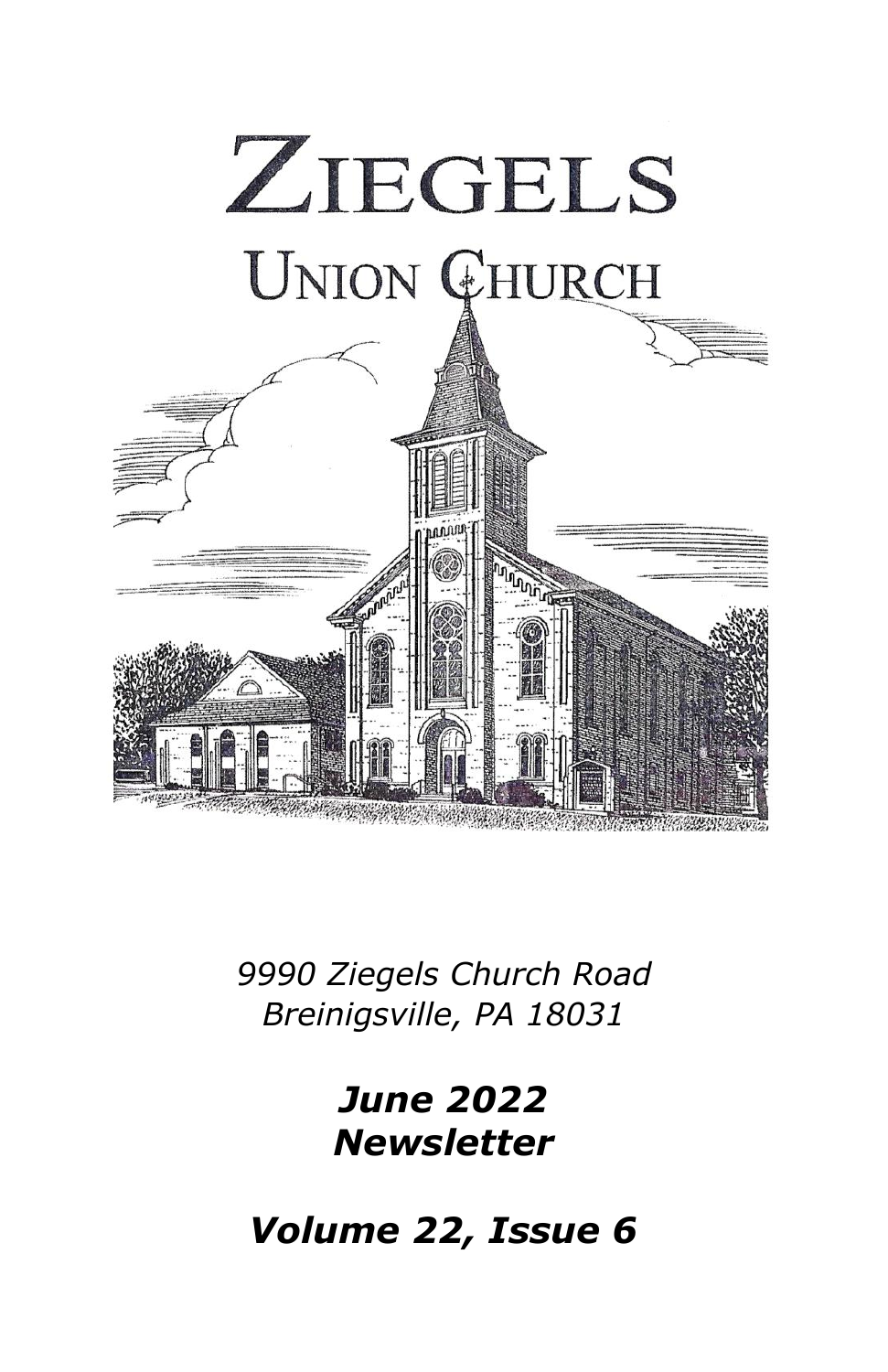

*9990 Ziegels Church Road Breinigsville, PA 18031*

> *June 2022 Newsletter*

*Volume 22, Issue 6*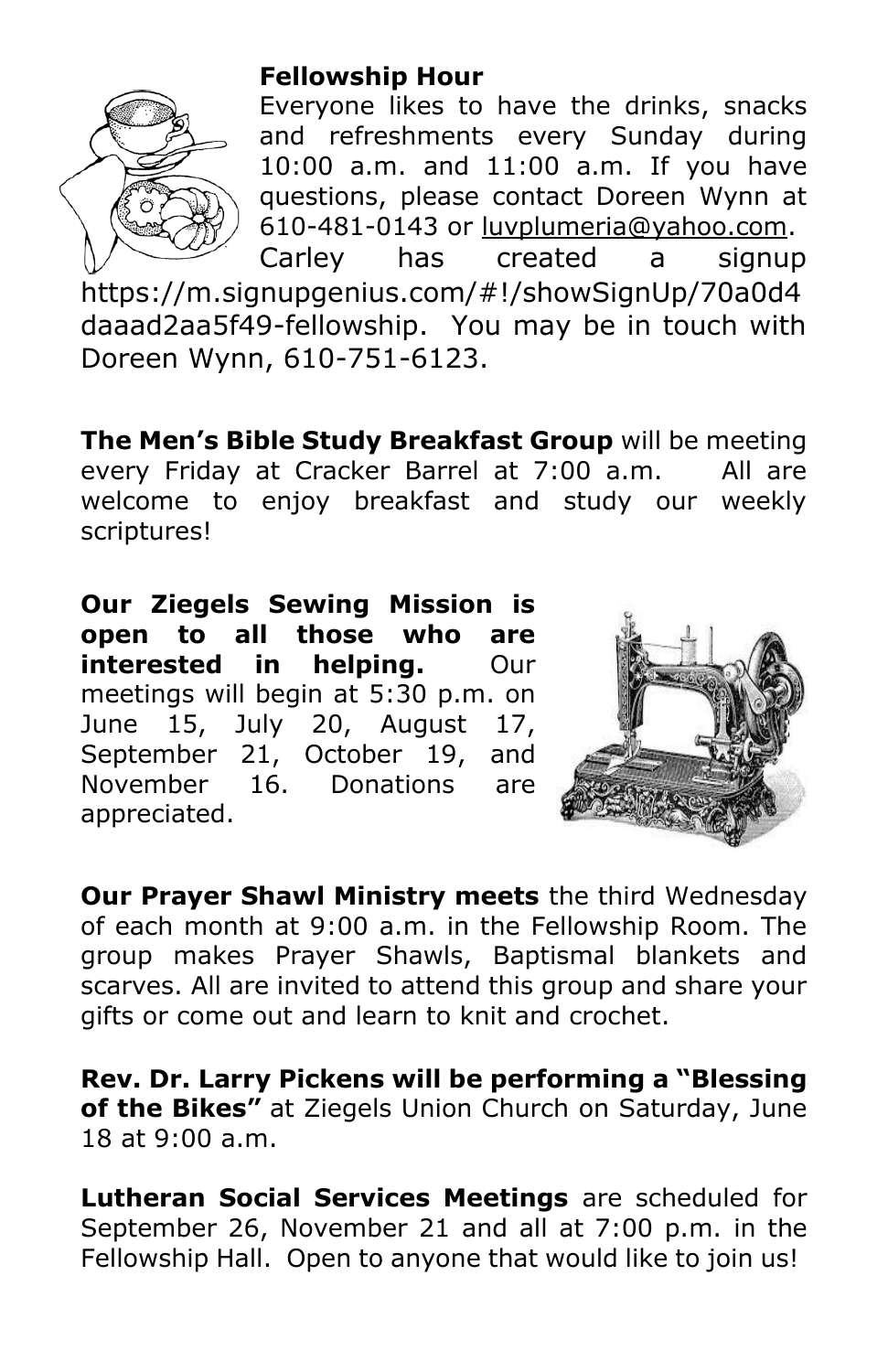

# **Fellowship Hour**

Everyone likes to have the drinks, snacks and refreshments every Sunday during 10:00 a.m. and 11:00 a.m. If you have questions, please contact Doreen Wynn at 610-481-0143 or [luvplumeria@yahoo.com.](mailto:luvplumeria@yahoo.com) Carley has created a signup

[https://m.signupgenius.com/#!/showSignUp/70a0d4](https://m.signupgenius.com/#!/showSignUp/70a0d4daaad2aa5f49-fellowship) [daaad2aa5f49-fellowship.](https://m.signupgenius.com/#!/showSignUp/70a0d4daaad2aa5f49-fellowship) You may be in touch with Doreen Wynn, 610-751-6123.

**The Men's Bible Study Breakfast Group** will be meeting every Friday at Cracker Barrel at 7:00 a.m. All are welcome to enjoy breakfast and study our weekly scriptures!

**Our Ziegels Sewing Mission is open to all those who are interested in helping.** Our meetings will begin at 5:30 p.m. on June 15, July 20, August 17, September 21, October 19, and November 16. Donations are appreciated.



**Our Prayer Shawl Ministry meets** the third Wednesday of each month at 9:00 a.m. in the Fellowship Room. The group makes Prayer Shawls, Baptismal blankets and scarves. All are invited to attend this group and share your gifts or come out and learn to knit and crochet.

**Rev. Dr. Larry Pickens will be performing a "Blessing of the Bikes"** at Ziegels Union Church on Saturday, June 18 at 9:00 a.m.

**Lutheran Social Services Meetings** are scheduled for September 26, November 21 and all at 7:00 p.m. in the Fellowship Hall. Open to anyone that would like to join us!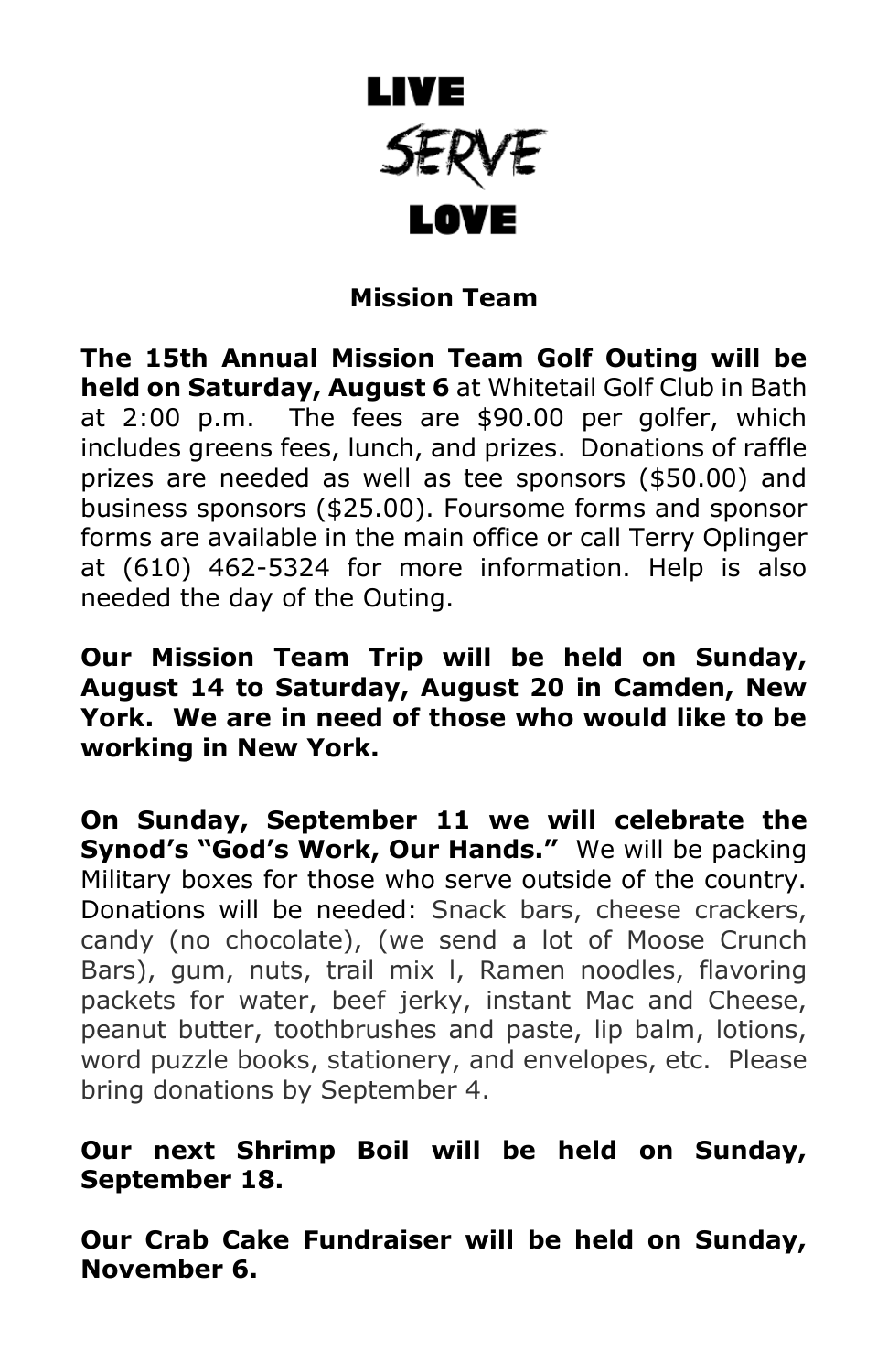

# **Mission Team**

**The 15th Annual Mission Team Golf Outing will be held on Saturday, August 6** at Whitetail Golf Club in Bath at 2:00 p.m. The fees are \$90.00 per golfer, which includes greens fees, lunch, and prizes. Donations of raffle prizes are needed as well as tee sponsors (\$50.00) and business sponsors (\$25.00). Foursome forms and sponsor forms are available in the main office or call Terry Oplinger at (610) 462-5324 for more information. Help is also needed the day of the Outing.

**Our Mission Team Trip will be held on Sunday, August 14 to Saturday, August 20 in Camden, New York. We are in need of those who would like to be working in New York.** 

**On Sunday, September 11 we will celebrate the Synod's "God's Work, Our Hands."** We will be packing Military boxes for those who serve outside of the country. Donations will be needed: Snack bars, cheese crackers, candy (no chocolate), (we send a lot of Moose Crunch Bars), gum, nuts, trail mix l, Ramen noodles, flavoring packets for water, beef jerky, instant Mac and Cheese, peanut butter, toothbrushes and paste, lip balm, lotions, word puzzle books, stationery, and envelopes, etc. Please bring donations by September 4.

#### **Our next Shrimp Boil will be held on Sunday, September 18.**

**Our Crab Cake Fundraiser will be held on Sunday, November 6.**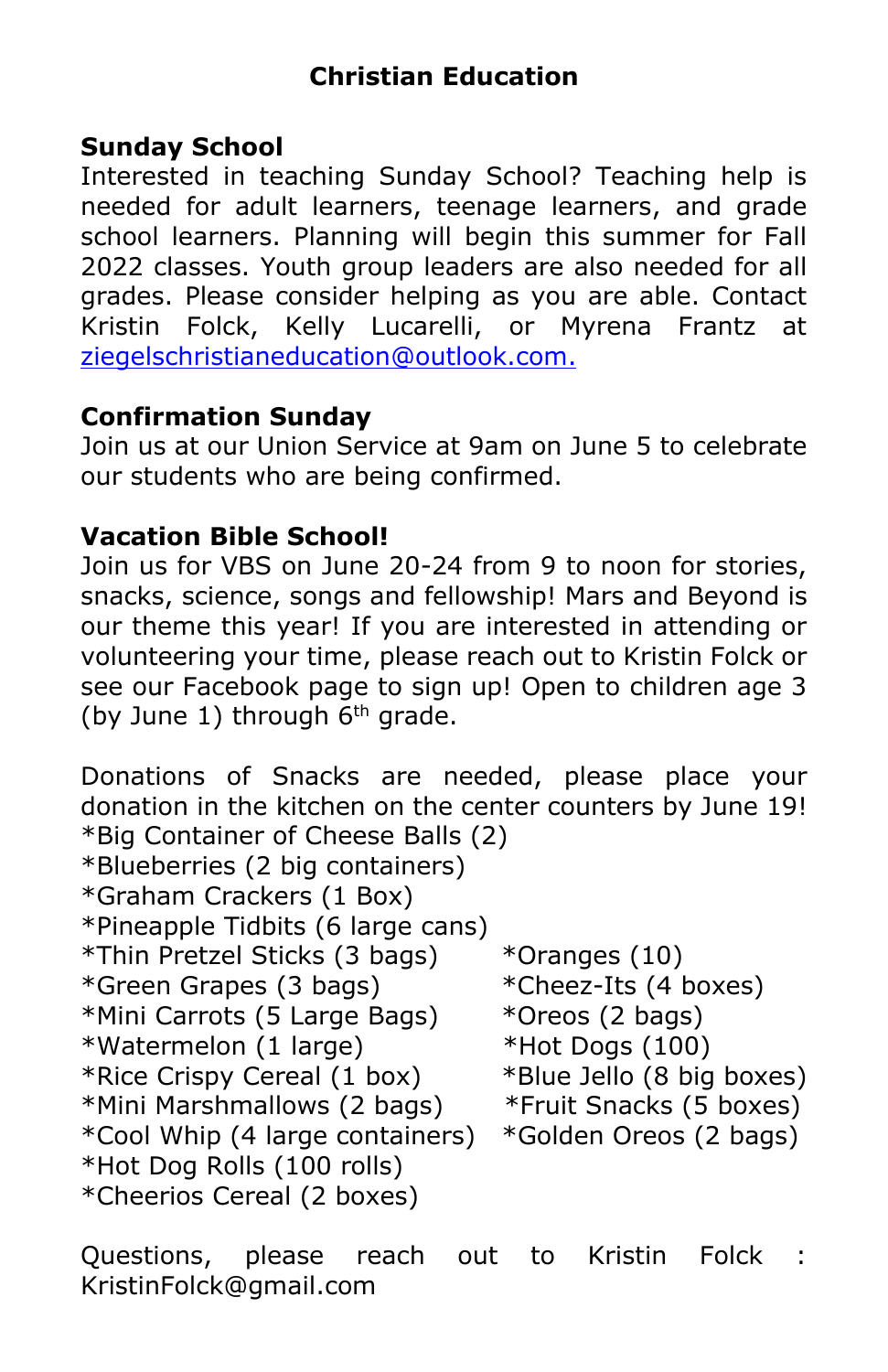# **Sunday School**

Interested in teaching Sunday School? Teaching help is needed for adult learners, teenage learners, and grade school learners. Planning will begin this summer for Fall 2022 classes. Youth group leaders are also needed for all grades. Please consider helping as you are able. Contact Kristin Folck, Kelly Lucarelli, or Myrena Frantz at [ziegelschristianeducation@outlook.com.](mailto:ziegelschristianeducation@outlook.com)

# **Confirmation Sunday**

Join us at our Union Service at 9am on June 5 to celebrate our students who are being confirmed.

#### **Vacation Bible School!**

Join us for VBS on June 20-24 from 9 to noon for stories, snacks, science, songs and fellowship! Mars and Beyond is our theme this year! If you are interested in attending or volunteering your time, please reach out to Kristin Folck or see our Facebook page to sign up! Open to children age 3 (by June 1) through  $6<sup>th</sup>$  grade.

Donations of Snacks are needed, please place your donation in the kitchen on the center counters by June 19! \*Big Container of Cheese Balls (2) \*Blueberries (2 big containers) \*Graham Crackers (1 Box) \*Pineapple Tidbits (6 large cans) \*Thin Pretzel Sticks (3 bags) \*Oranges (10) \*Green Grapes (3 bags) \*Cheez-Its (4 boxes) \*Mini Carrots (5 Large Bags) \*Oreos (2 bags) \*Watermelon (1 large) \*Hot Dogs (100) \*Rice Crispy Cereal (1 box) \*Blue Jello (8 big boxes) \*Mini Marshmallows (2 bags) \*Fruit Snacks (5 boxes) \*Cool Whip (4 large containers) \*Golden Oreos (2 bags) \*Hot Dog Rolls (100 rolls) \*Cheerios Cereal (2 boxes)

Questions, please reach out to Kristin Folck : KristinFolck@gmail.com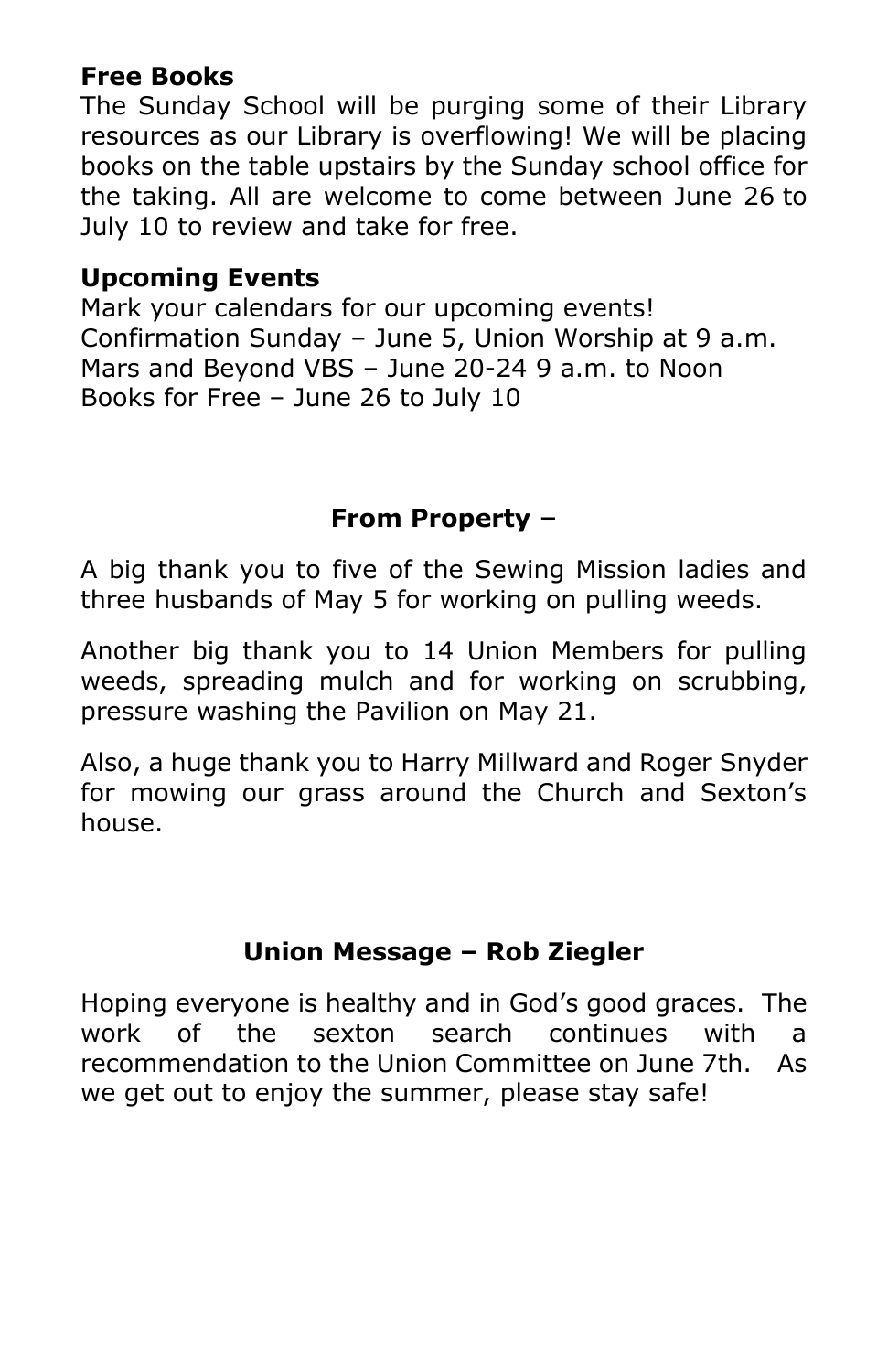# **Free Books**

The Sunday School will be purging some of their Library resources as our Library is overflowing! We will be placing books on the table upstairs by the Sunday school office for the taking. All are welcome to come between June 26 to July 10 to review and take for free.

# **Upcoming Events**

Mark your calendars for our upcoming events! Confirmation Sunday – June 5, Union Worship at 9 a.m. Mars and Beyond VBS – June 20-24 9 a.m. to Noon Books for Free – June 26 to July 10

# **From Property –**

A big thank you to five of the Sewing Mission ladies and three husbands of May 5 for working on pulling weeds.

Another big thank you to 14 Union Members for pulling weeds, spreading mulch and for working on scrubbing, pressure washing the Pavilion on May 21.

Also, a huge thank you to Harry Millward and Roger Snyder for mowing our grass around the Church and Sexton's house.

# **Union Message – Rob Ziegler**

Hoping everyone is healthy and in God's good graces. The work of the sexton search continues with a recommendation to the Union Committee on June 7th. As we get out to enjoy the summer, please stay safe!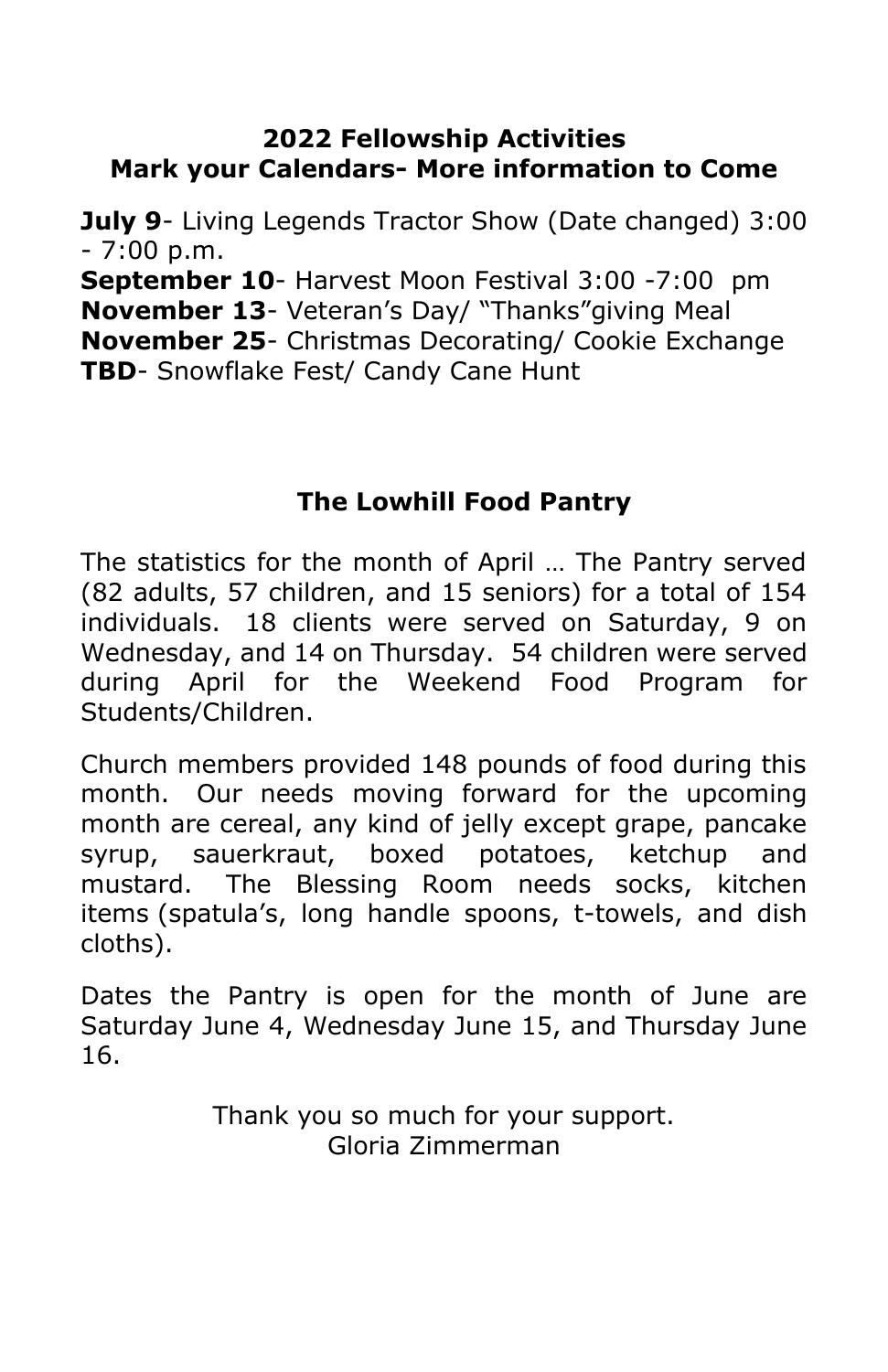# **2022 Fellowship Activities Mark your Calendars- More information to Come**

**July 9**- Living Legends Tractor Show (Date changed) 3:00  $-7:00$  p.m.

**September 10**- Harvest Moon Festival 3:00 -7:00 pm **November 13**- Veteran's Day/ "Thanks"giving Meal **November 25**- Christmas Decorating/ Cookie Exchange **TBD**- Snowflake Fest/ Candy Cane Hunt

# **The Lowhill Food Pantry**

The statistics for the month of April … The Pantry served (82 adults, 57 children, and 15 seniors) for a total of 154 individuals. 18 clients were served on Saturday, 9 on Wednesday, and 14 on Thursday. 54 children were served during April for the Weekend Food Program for Students/Children.

Church members provided 148 pounds of food during this month. Our needs moving forward for the upcoming month are cereal, any kind of jelly except grape, pancake syrup, sauerkraut, boxed potatoes, ketchup and mustard. The Blessing Room needs socks, kitchen items (spatula's, long handle spoons, t-towels, and dish cloths).

Dates the Pantry is open for the month of June are Saturday June 4, Wednesday June 15, and Thursday June 16.

> Thank you so much for your support. Gloria Zimmerman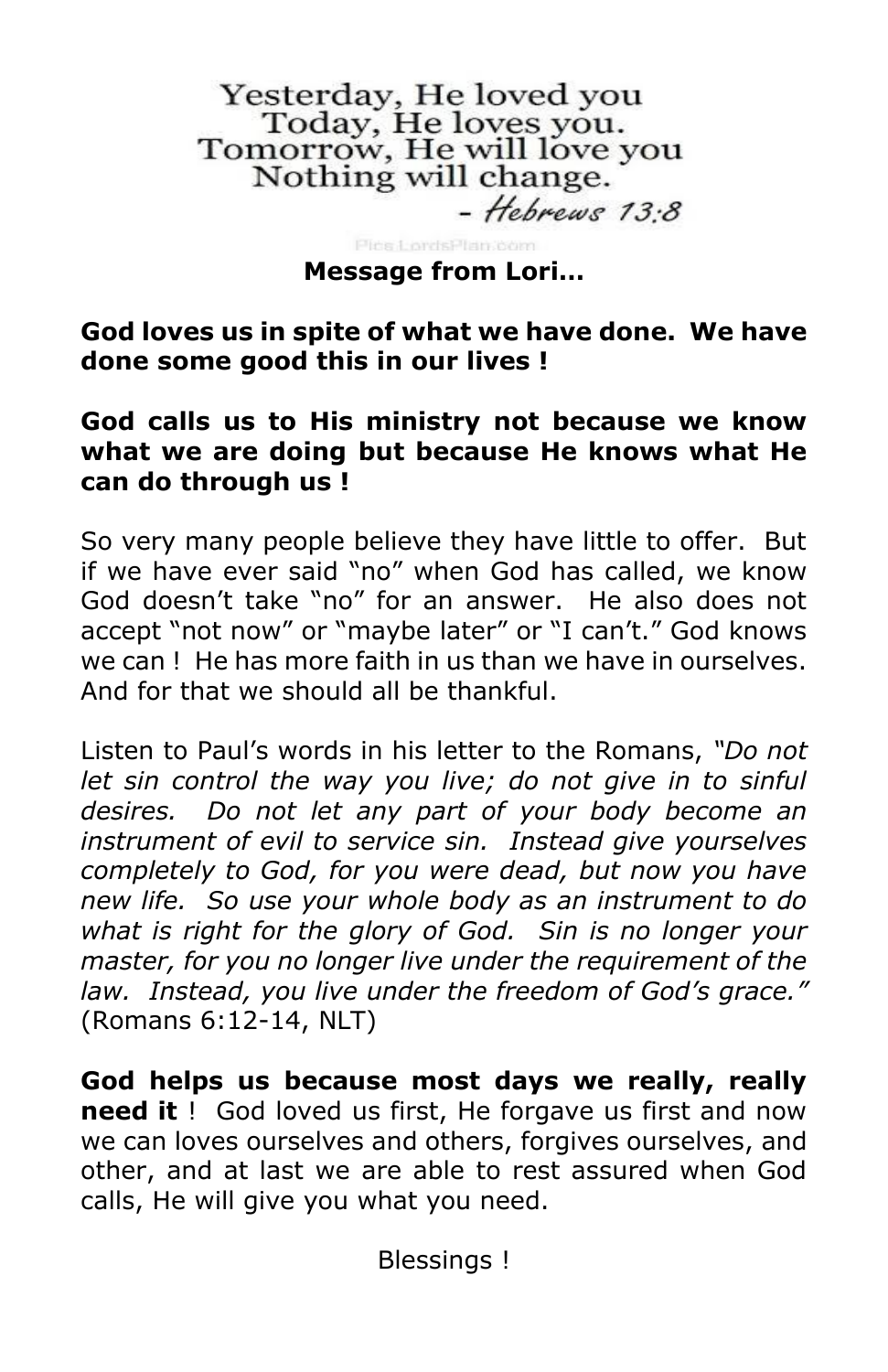Yesterday, He loved you<br>Today, He loves you. Tomorrow, He will love you<br>Nothing will change.  $-$  Hebrews 13.8

Pins LordsPlan3bom

#### **Message from Lori…**

**God loves us in spite of what we have done. We have done some good this in our lives !**

#### **God calls us to His ministry not because we know what we are doing but because He knows what He can do through us !**

So very many people believe they have little to offer. But if we have ever said "no" when God has called, we know God doesn't take "no" for an answer. He also does not accept "not now" or "maybe later" or "I can't." God knows we can ! He has more faith in us than we have in ourselves. And for that we should all be thankful.

Listen to Paul's words in his letter to the Romans, *"Do not let sin control the way you live; do not give in to sinful desires. Do not let any part of your body become an instrument of evil to service sin. Instead give yourselves completely to God, for you were dead, but now you have new life. So use your whole body as an instrument to do what is right for the glory of God. Sin is no longer your master, for you no longer live under the requirement of the law. Instead, you live under the freedom of God's grace."* (Romans 6:12-14, NLT)

**God helps us because most days we really, really need it** ! God loved us first, He forgave us first and now we can loves ourselves and others, forgives ourselves, and other, and at last we are able to rest assured when God calls, He will give you what you need.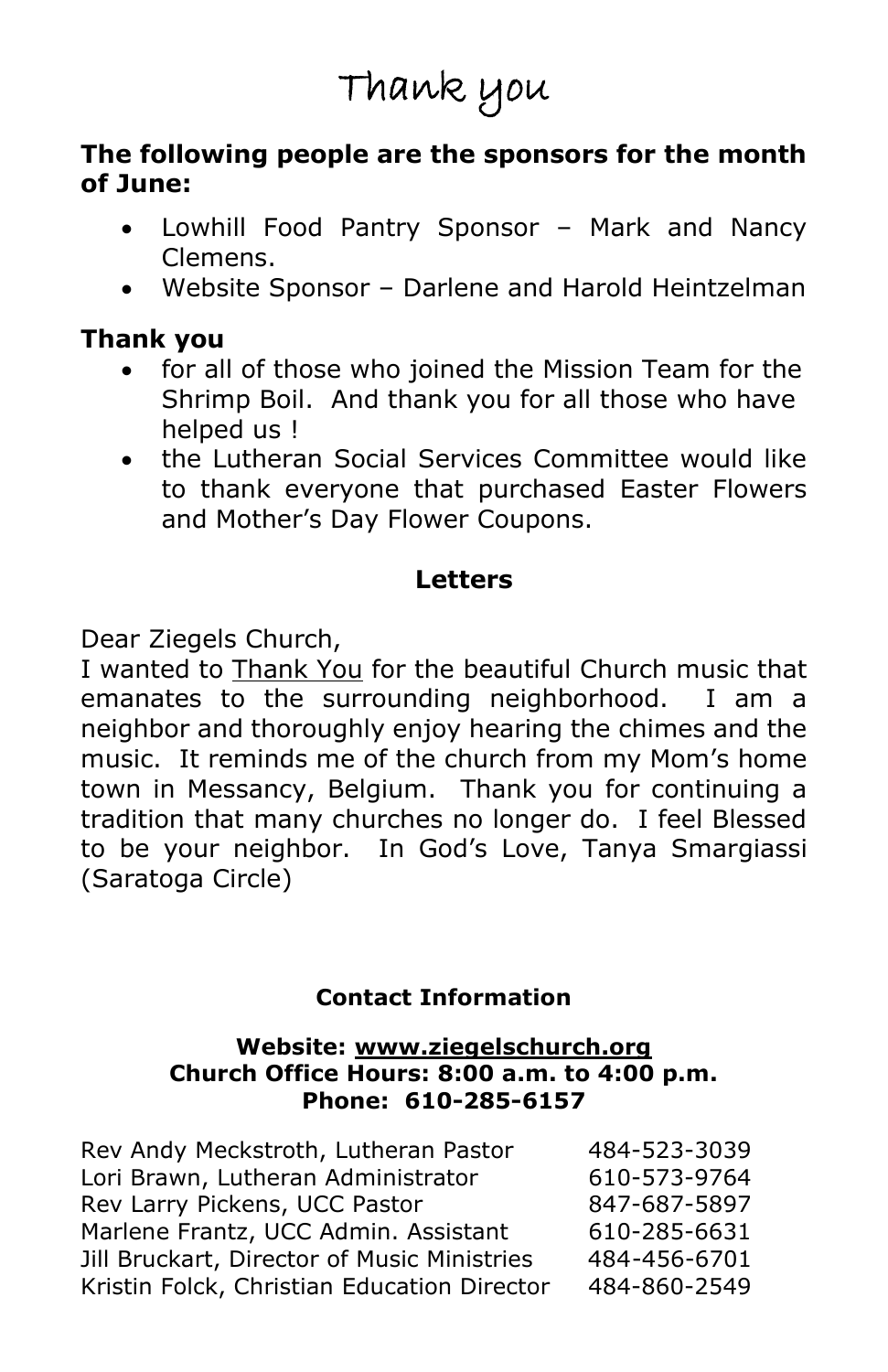# Thank you

#### **The following people are the sponsors for the month of June:**

- Lowhill Food Pantry Sponsor Mark and Nancy Clemens.
- Website Sponsor Darlene and Harold Heintzelman

#### **Thank you**

- for all of those who joined the Mission Team for the Shrimp Boil. And thank you for all those who have helped us !
- the Lutheran Social Services Committee would like to thank everyone that purchased Easter Flowers and Mother's Day Flower Coupons.

# **Letters**

Dear Ziegels Church,

I wanted to Thank You for the beautiful Church music that emanates to the surrounding neighborhood. I am a neighbor and thoroughly enjoy hearing the chimes and the music. It reminds me of the church from my Mom's home town in Messancy, Belgium. Thank you for continuing a tradition that many churches no longer do. I feel Blessed to be your neighbor. In God's Love, Tanya Smargiassi (Saratoga Circle)

# **Contact Information**

#### **Website: [www.ziegelschurch.org](http://www.ziegelschurch.org/) Church Office Hours: 8:00 a.m. to 4:00 p.m. Phone: 610-285-6157**

| Rev Andy Meckstroth, Lutheran Pastor        | 484-523-3039 |
|---------------------------------------------|--------------|
| Lori Brawn, Lutheran Administrator          | 610-573-9764 |
| Rev Larry Pickens, UCC Pastor               | 847-687-5897 |
| Marlene Frantz, UCC Admin. Assistant        | 610-285-6631 |
| Jill Bruckart, Director of Music Ministries | 484-456-6701 |
| Kristin Folck, Christian Education Director | 484-860-2549 |